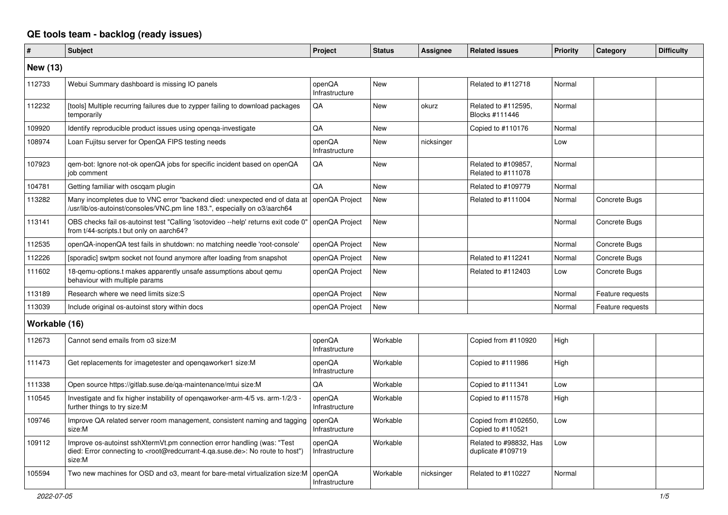## **QE tools team - backlog (ready issues)**

| #               | <b>Subject</b>                                                                                                                                                                                    | Project                  | <b>Status</b> | <b>Assignee</b> | <b>Related issues</b>                       | Priority | Category         | <b>Difficulty</b> |
|-----------------|---------------------------------------------------------------------------------------------------------------------------------------------------------------------------------------------------|--------------------------|---------------|-----------------|---------------------------------------------|----------|------------------|-------------------|
| <b>New (13)</b> |                                                                                                                                                                                                   |                          |               |                 |                                             |          |                  |                   |
| 112733          | Webui Summary dashboard is missing IO panels                                                                                                                                                      | openQA<br>Infrastructure | <b>New</b>    |                 | Related to #112718                          | Normal   |                  |                   |
| 112232          | [tools] Multiple recurring failures due to zypper failing to download packages<br>temporarily                                                                                                     | QA                       | New           | okurz           | Related to #112595.<br>Blocks #111446       | Normal   |                  |                   |
| 109920          | Identify reproducible product issues using openga-investigate                                                                                                                                     | QA                       | New           |                 | Copied to #110176                           | Normal   |                  |                   |
| 108974          | Loan Fujitsu server for OpenQA FIPS testing needs                                                                                                                                                 | openQA<br>Infrastructure | New           | nicksinger      |                                             | Low      |                  |                   |
| 107923          | qem-bot: Ignore not-ok openQA jobs for specific incident based on openQA<br>job comment                                                                                                           | QA                       | <b>New</b>    |                 | Related to #109857,<br>Related to #111078   | Normal   |                  |                   |
| 104781          | Getting familiar with oscqam plugin                                                                                                                                                               | QA                       | <b>New</b>    |                 | Related to #109779                          | Normal   |                  |                   |
| 113282          | Many incompletes due to VNC error "backend died: unexpected end of data at<br>/usr/lib/os-autoinst/consoles/VNC.pm line 183.", especially on o3/aarch64                                           | openQA Project           | New           |                 | Related to #111004                          | Normal   | Concrete Bugs    |                   |
| 113141          | OBS checks fail os-autoinst test "Calling 'isotovideo --help' returns exit code 0"<br>from t/44-scripts.t but only on aarch64?                                                                    | openQA Project           | New           |                 |                                             | Normal   | Concrete Bugs    |                   |
| 112535          | openQA-inopenQA test fails in shutdown: no matching needle 'root-console'                                                                                                                         | openQA Project           | <b>New</b>    |                 |                                             | Normal   | Concrete Bugs    |                   |
| 112226          | [sporadic] swtpm socket not found anymore after loading from snapshot                                                                                                                             | openQA Project           | New           |                 | Related to #112241                          | Normal   | Concrete Bugs    |                   |
| 111602          | 18-gemu-options.t makes apparently unsafe assumptions about gemu<br>behaviour with multiple params                                                                                                | openQA Project           | New           |                 | Related to #112403                          | Low      | Concrete Bugs    |                   |
| 113189          | Research where we need limits size:S                                                                                                                                                              | openQA Project           | <b>New</b>    |                 |                                             | Normal   | Feature requests |                   |
| 113039          | Include original os-autoinst story within docs                                                                                                                                                    | openQA Project           | New           |                 |                                             | Normal   | Feature requests |                   |
| Workable (16)   |                                                                                                                                                                                                   |                          |               |                 |                                             |          |                  |                   |
| 112673          | Cannot send emails from o3 size:M                                                                                                                                                                 | openQA<br>Infrastructure | Workable      |                 | Copied from #110920                         | High     |                  |                   |
| 111473          | Get replacements for imagetester and opengaworker1 size:M                                                                                                                                         | openQA<br>Infrastructure | Workable      |                 | Copied to #111986                           | High     |                  |                   |
| 111338          | Open source https://gitlab.suse.de/ga-maintenance/mtui size:M                                                                                                                                     | QA                       | Workable      |                 | Copied to #111341                           | Low      |                  |                   |
| 110545          | Investigate and fix higher instability of opengaworker-arm-4/5 vs. arm-1/2/3 -<br>further things to try size:M                                                                                    | openQA<br>Infrastructure | Workable      |                 | Copied to #111578                           | High     |                  |                   |
| 109746          | Improve QA related server room management, consistent naming and tagging<br>size:M                                                                                                                | openQA<br>Infrastructure | Workable      |                 | Copied from #102650,<br>Copied to #110521   | Low      |                  |                   |
| 109112          | Improve os-autoinst sshXtermVt.pm connection error handling (was: "Test<br>died: Error connecting to <root@redcurrant-4.ga.suse.de>: No route to host")<br/>size:M</root@redcurrant-4.ga.suse.de> | openQA<br>Infrastructure | Workable      |                 | Related to #98832, Has<br>duplicate #109719 | Low      |                  |                   |
| 105594          | Two new machines for OSD and o3, meant for bare-metal virtualization size:M                                                                                                                       | openQA<br>Infrastructure | Workable      | nicksinger      | Related to #110227                          | Normal   |                  |                   |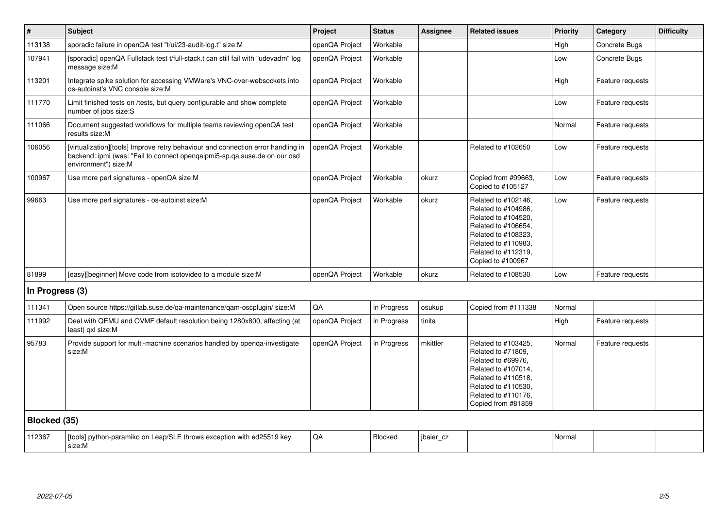| #               | <b>Subject</b>                                                                                                                                                                        | Project        | <b>Status</b> | <b>Assignee</b> | <b>Related issues</b>                                                                                                                                                              | <b>Priority</b> | Category         | <b>Difficulty</b> |
|-----------------|---------------------------------------------------------------------------------------------------------------------------------------------------------------------------------------|----------------|---------------|-----------------|------------------------------------------------------------------------------------------------------------------------------------------------------------------------------------|-----------------|------------------|-------------------|
| 113138          | sporadic failure in openQA test "t/ui/23-audit-log.t" size:M                                                                                                                          | openQA Project | Workable      |                 |                                                                                                                                                                                    | High            | Concrete Bugs    |                   |
| 107941          | [sporadic] openQA Fullstack test t/full-stack.t can still fail with "udevadm" log<br>message size:M                                                                                   | openQA Project | Workable      |                 |                                                                                                                                                                                    | Low             | Concrete Bugs    |                   |
| 113201          | Integrate spike solution for accessing VMWare's VNC-over-websockets into<br>os-autoinst's VNC console size:M                                                                          | openQA Project | Workable      |                 |                                                                                                                                                                                    | High            | Feature requests |                   |
| 111770          | Limit finished tests on /tests, but query configurable and show complete<br>number of jobs size:S                                                                                     | openQA Project | Workable      |                 |                                                                                                                                                                                    | Low             | Feature requests |                   |
| 111066          | Document suggested workflows for multiple teams reviewing openQA test<br>results size:M                                                                                               | openQA Project | Workable      |                 |                                                                                                                                                                                    | Normal          | Feature requests |                   |
| 106056          | [virtualization][tools] Improve retry behaviour and connection error handling in<br>backend::ipmi (was: "Fail to connect openqaipmi5-sp.qa.suse.de on our osd<br>environment") size:M | openQA Project | Workable      |                 | Related to #102650                                                                                                                                                                 | Low             | Feature requests |                   |
| 100967          | Use more perl signatures - openQA size:M                                                                                                                                              | openQA Project | Workable      | okurz           | Copied from #99663,<br>Copied to #105127                                                                                                                                           | Low             | Feature requests |                   |
| 99663           | Use more perl signatures - os-autoinst size:M                                                                                                                                         | openQA Project | Workable      | okurz           | Related to #102146,<br>Related to #104986,<br>Related to #104520,<br>Related to #106654,<br>Related to #108323,<br>Related to #110983.<br>Related to #112319,<br>Copied to #100967 | Low             | Feature requests |                   |
| 81899           | [easy][beginner] Move code from isotovideo to a module size: M                                                                                                                        | openQA Project | Workable      | okurz           | Related to #108530                                                                                                                                                                 | Low             | Feature requests |                   |
| In Progress (3) |                                                                                                                                                                                       |                |               |                 |                                                                                                                                                                                    |                 |                  |                   |
| 111341          | Open source https://gitlab.suse.de/qa-maintenance/qam-oscplugin/ size:M                                                                                                               | QA             | In Progress   | osukup          | Copied from #111338                                                                                                                                                                | Normal          |                  |                   |
| 111992          | Deal with QEMU and OVMF default resolution being 1280x800, affecting (at<br>least) gxl size:M                                                                                         | openQA Project | In Progress   | tinita          |                                                                                                                                                                                    | High            | Feature requests |                   |
| 95783           | Provide support for multi-machine scenarios handled by openga-investigate<br>size:M                                                                                                   | openQA Project | In Progress   | mkittler        | Related to #103425,<br>Related to #71809,<br>Related to #69976.<br>Related to #107014,<br>Related to #110518,<br>Related to #110530,<br>Related to #110176,<br>Copied from #81859  | Normal          | Feature requests |                   |
| Blocked (35)    |                                                                                                                                                                                       |                |               |                 |                                                                                                                                                                                    |                 |                  |                   |
| 112367          | [tools] python-paramiko on Leap/SLE throws exception with ed25519 key<br>size:M                                                                                                       | QA             | Blocked       | jbaier_cz       |                                                                                                                                                                                    | Normal          |                  |                   |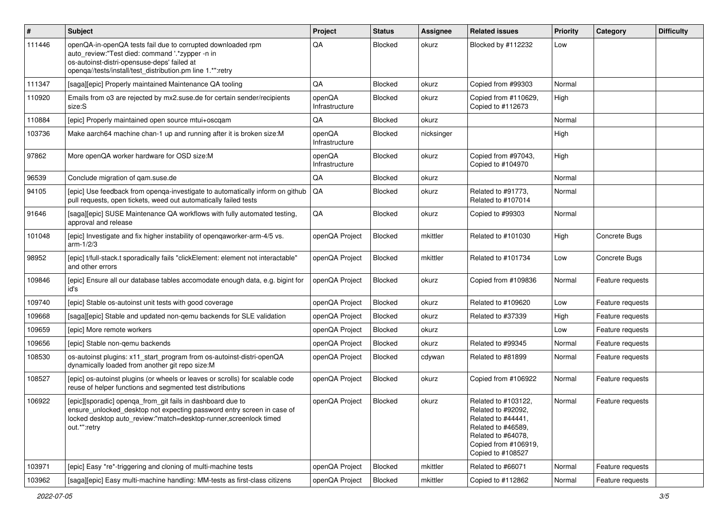| $\vert$ # | <b>Subject</b>                                                                                                                                                                                                              | Project                  | <b>Status</b>  | Assignee   | <b>Related issues</b>                                                                                                                                    | <b>Priority</b> | Category         | <b>Difficulty</b> |
|-----------|-----------------------------------------------------------------------------------------------------------------------------------------------------------------------------------------------------------------------------|--------------------------|----------------|------------|----------------------------------------------------------------------------------------------------------------------------------------------------------|-----------------|------------------|-------------------|
| 111446    | openQA-in-openQA tests fail due to corrupted downloaded rpm<br>auto_review:"Test died: command '.*zypper -n in<br>os-autoinst-distri-opensuse-deps' failed at<br>openqa//tests/install/test_distribution.pm line 1.*":retry | QA                       | <b>Blocked</b> | okurz      | Blocked by #112232                                                                                                                                       | Low             |                  |                   |
| 111347    | [saga][epic] Properly maintained Maintenance QA tooling                                                                                                                                                                     | QA                       | Blocked        | okurz      | Copied from #99303                                                                                                                                       | Normal          |                  |                   |
| 110920    | Emails from 03 are rejected by mx2.suse.de for certain sender/recipients<br>size:S                                                                                                                                          | openQA<br>Infrastructure | Blocked        | okurz      | Copied from #110629,<br>Copied to #112673                                                                                                                | High            |                  |                   |
| 110884    | [epic] Properly maintained open source mtui+oscqam                                                                                                                                                                          | QA                       | Blocked        | okurz      |                                                                                                                                                          | Normal          |                  |                   |
| 103736    | Make aarch64 machine chan-1 up and running after it is broken size:M                                                                                                                                                        | openQA<br>Infrastructure | Blocked        | nicksinger |                                                                                                                                                          | High            |                  |                   |
| 97862     | More openQA worker hardware for OSD size:M                                                                                                                                                                                  | openQA<br>Infrastructure | Blocked        | okurz      | Copied from #97043,<br>Copied to #104970                                                                                                                 | High            |                  |                   |
| 96539     | Conclude migration of qam.suse.de                                                                                                                                                                                           | QA                       | Blocked        | okurz      |                                                                                                                                                          | Normal          |                  |                   |
| 94105     | [epic] Use feedback from openga-investigate to automatically inform on github<br>pull requests, open tickets, weed out automatically failed tests                                                                           | QA                       | <b>Blocked</b> | okurz      | Related to #91773,<br>Related to #107014                                                                                                                 | Normal          |                  |                   |
| 91646     | [saga][epic] SUSE Maintenance QA workflows with fully automated testing,<br>approval and release                                                                                                                            | QA                       | Blocked        | okurz      | Copied to #99303                                                                                                                                         | Normal          |                  |                   |
| 101048    | [epic] Investigate and fix higher instability of openqaworker-arm-4/5 vs.<br>$arm-1/2/3$                                                                                                                                    | openQA Project           | Blocked        | mkittler   | Related to #101030                                                                                                                                       | High            | Concrete Bugs    |                   |
| 98952     | [epic] t/full-stack.t sporadically fails "clickElement: element not interactable"<br>and other errors                                                                                                                       | openQA Project           | Blocked        | mkittler   | Related to #101734                                                                                                                                       | Low             | Concrete Bugs    |                   |
| 109846    | [epic] Ensure all our database tables accomodate enough data, e.g. bigint for<br>id's                                                                                                                                       | openQA Project           | Blocked        | okurz      | Copied from #109836                                                                                                                                      | Normal          | Feature requests |                   |
| 109740    | [epic] Stable os-autoinst unit tests with good coverage                                                                                                                                                                     | openQA Project           | Blocked        | okurz      | Related to #109620                                                                                                                                       | Low             | Feature requests |                   |
| 109668    | [saga][epic] Stable and updated non-gemu backends for SLE validation                                                                                                                                                        | openQA Project           | Blocked        | okurz      | Related to #37339                                                                                                                                        | High            | Feature requests |                   |
| 109659    | [epic] More remote workers                                                                                                                                                                                                  | openQA Project           | Blocked        | okurz      |                                                                                                                                                          | Low             | Feature requests |                   |
| 109656    | [epic] Stable non-gemu backends                                                                                                                                                                                             | openQA Project           | Blocked        | okurz      | Related to #99345                                                                                                                                        | Normal          | Feature requests |                   |
| 108530    | os-autoinst plugins: x11_start_program from os-autoinst-distri-openQA<br>dynamically loaded from another git repo size:M                                                                                                    | openQA Project           | Blocked        | cdywan     | Related to #81899                                                                                                                                        | Normal          | Feature requests |                   |
| 108527    | [epic] os-autoinst plugins (or wheels or leaves or scrolls) for scalable code<br>reuse of helper functions and segmented test distributions                                                                                 | openQA Project           | Blocked        | okurz      | Copied from #106922                                                                                                                                      | Normal          | Feature requests |                   |
| 106922    | [epic][sporadic] openqa_from_git fails in dashboard due to<br>ensure_unlocked_desktop not expecting password entry screen in case of<br>locked desktop auto_review:"match=desktop-runner,screenlock timed<br>out.*":retry   | openQA Project           | Blocked        | okurz      | Related to #103122,<br>Related to #92092,<br>Related to #44441,<br>Related to #46589,<br>Related to #64078,<br>Copied from #106919,<br>Copied to #108527 | Normal          | Feature requests |                   |
| 103971    | [epic] Easy *re*-triggering and cloning of multi-machine tests                                                                                                                                                              | openQA Project           | Blocked        | mkittler   | Related to #66071                                                                                                                                        | Normal          | Feature requests |                   |
| 103962    | [saga][epic] Easy multi-machine handling: MM-tests as first-class citizens                                                                                                                                                  | openQA Project           | Blocked        | mkittler   | Copied to #112862                                                                                                                                        | Normal          | Feature requests |                   |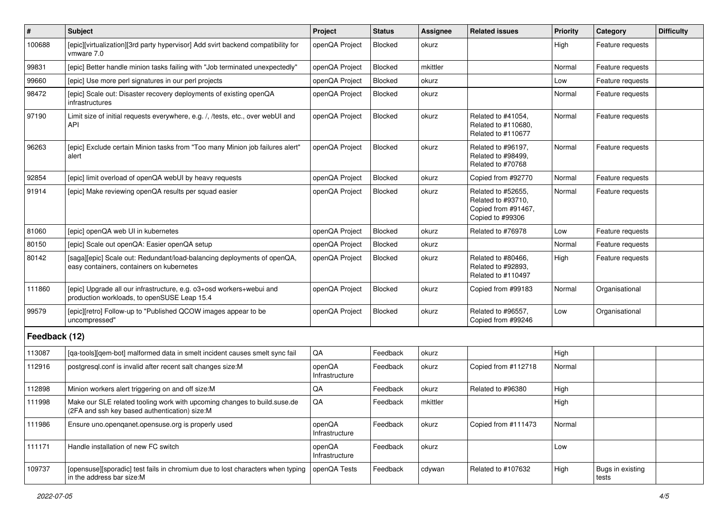| $\vert$ #     | Subject                                                                                                                   | Project                  | <b>Status</b> | <b>Assignee</b> | <b>Related issues</b>                                                               | <b>Priority</b> | Category                  | <b>Difficulty</b> |
|---------------|---------------------------------------------------------------------------------------------------------------------------|--------------------------|---------------|-----------------|-------------------------------------------------------------------------------------|-----------------|---------------------------|-------------------|
| 100688        | [epic][virtualization][3rd party hypervisor] Add svirt backend compatibility for<br>vmware 7.0                            | openQA Project           | Blocked       | okurz           |                                                                                     | High            | Feature requests          |                   |
| 99831         | [epic] Better handle minion tasks failing with "Job terminated unexpectedly"                                              | openQA Project           | Blocked       | mkittler        |                                                                                     | Normal          | Feature requests          |                   |
| 99660         | [epic] Use more perl signatures in our perl projects                                                                      | openQA Project           | Blocked       | okurz           |                                                                                     | Low             | Feature requests          |                   |
| 98472         | [epic] Scale out: Disaster recovery deployments of existing openQA<br>infrastructures                                     | openQA Project           | Blocked       | okurz           |                                                                                     | Normal          | Feature requests          |                   |
| 97190         | Limit size of initial requests everywhere, e.g. /, /tests, etc., over webUI and<br><b>API</b>                             | openQA Project           | Blocked       | okurz           | Related to #41054,<br>Related to #110680,<br>Related to #110677                     | Normal          | Feature requests          |                   |
| 96263         | [epic] Exclude certain Minion tasks from "Too many Minion job failures alert"<br>alert                                    | openQA Project           | Blocked       | okurz           | Related to #96197,<br>Related to #98499,<br>Related to #70768                       | Normal          | Feature requests          |                   |
| 92854         | [epic] limit overload of openQA webUI by heavy requests                                                                   | openQA Project           | Blocked       | okurz           | Copied from #92770                                                                  | Normal          | Feature requests          |                   |
| 91914         | [epic] Make reviewing openQA results per squad easier                                                                     | openQA Project           | Blocked       | okurz           | Related to #52655,<br>Related to #93710,<br>Copied from #91467,<br>Copied to #99306 | Normal          | Feature requests          |                   |
| 81060         | [epic] openQA web UI in kubernetes                                                                                        | openQA Project           | Blocked       | okurz           | Related to #76978                                                                   | Low             | Feature requests          |                   |
| 80150         | [epic] Scale out openQA: Easier openQA setup                                                                              | openQA Project           | Blocked       | okurz           |                                                                                     | Normal          | Feature requests          |                   |
| 80142         | [saga][epic] Scale out: Redundant/load-balancing deployments of openQA,<br>easy containers, containers on kubernetes      | openQA Project           | Blocked       | okurz           | Related to #80466,<br>Related to #92893,<br>Related to #110497                      | High            | Feature requests          |                   |
| 111860        | [epic] Upgrade all our infrastructure, e.g. o3+osd workers+webui and<br>production workloads, to openSUSE Leap 15.4       | openQA Project           | Blocked       | okurz           | Copied from #99183                                                                  | Normal          | Organisational            |                   |
| 99579         | [epic][retro] Follow-up to "Published QCOW images appear to be<br>uncompressed"                                           | openQA Project           | Blocked       | okurz           | Related to #96557,<br>Copied from #99246                                            | Low             | Organisational            |                   |
| Feedback (12) |                                                                                                                           |                          |               |                 |                                                                                     |                 |                           |                   |
| 113087        | [qa-tools][qem-bot] malformed data in smelt incident causes smelt sync fail                                               | QA                       | Feedback      | okurz           |                                                                                     | High            |                           |                   |
| 112916        | postgresql.conf is invalid after recent salt changes size:M                                                               | openQA<br>Infrastructure | Feedback      | okurz           | Copied from #112718                                                                 | Normal          |                           |                   |
| 112898        | Minion workers alert triggering on and off size:M                                                                         | QA                       | Feedback      | okurz           | Related to #96380                                                                   | High            |                           |                   |
| 111998        | Make our SLE related tooling work with upcoming changes to build suse de<br>(2FA and ssh key based authentication) size:M | QA                       | Feedback      | mkittler        |                                                                                     | High            |                           |                   |
| 111986        | Ensure uno openganet opensuse org is properly used                                                                        | openQA<br>Infrastructure | Feedback      | okurz           | Copied from #111473                                                                 | Normal          |                           |                   |
| 111171        | Handle installation of new FC switch                                                                                      | openQA<br>Infrastructure | Feedback      | okurz           |                                                                                     | Low             |                           |                   |
| 109737        | [opensuse][sporadic] test fails in chromium due to lost characters when typing<br>in the address bar size:M               | openQA Tests             | Feedback      | cdywan          | Related to #107632                                                                  | High            | Bugs in existing<br>tests |                   |